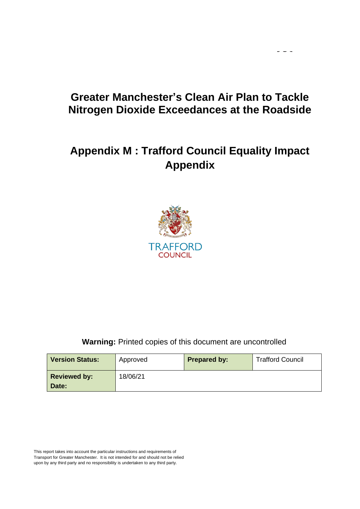# **Greater Manchester's Clean Air Plan to Tackle Nitrogen Dioxide Exceedances at the Roadside**

 $\frac{1}{2} \left( \frac{1}{2} \right)$ 

# **Appendix M : Trafford Council Equality Impact Appendix**



**Warning:** Printed copies of this document are uncontrolled

| <b>Version Status:</b> | Approved | <b>Prepared by:</b> | <b>Trafford Council</b> |
|------------------------|----------|---------------------|-------------------------|
| <b>Reviewed by:</b>    | 18/06/21 |                     |                         |
| Date:                  |          |                     |                         |

This report takes into account the particular instructions and requirements of Transport for Greater Manchester. It is not intended for and should not be relied upon by any third party and no responsibility is undertaken to any third party.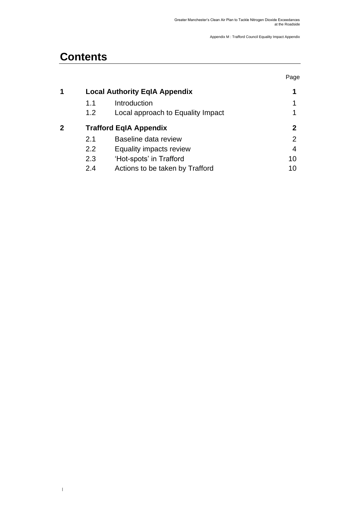# **Contents**

|   |     |                                      | Page |
|---|-----|--------------------------------------|------|
| 1 |     | <b>Local Authority EqIA Appendix</b> | 1    |
|   | 1.1 | Introduction                         |      |
|   | 1.2 | Local approach to Equality Impact    |      |
| 2 |     | <b>Trafford EqIA Appendix</b>        | 2    |
|   | 2.1 | Baseline data review                 | 2    |
|   | 2.2 | Equality impacts review              | 4    |
|   | 2.3 | 'Hot-spots' in Trafford              | 10   |
|   | 2.4 | Actions to be taken by Trafford      | 10   |
|   |     |                                      |      |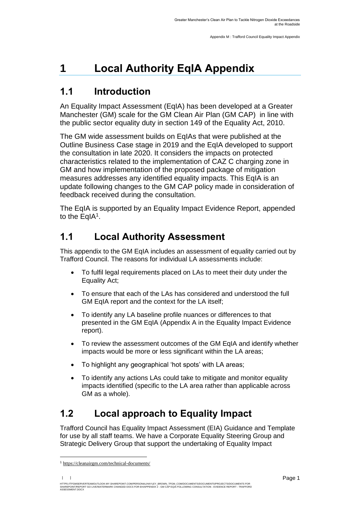# <span id="page-2-0"></span>**1 Local Authority EqIA Appendix**

### <span id="page-2-1"></span>**1.1 Introduction**

<span id="page-2-2"></span>An Equality Impact Assessment (EqIA) has been developed at a Greater Manchester (GM) scale for the GM Clean Air Plan (GM CAP) in line with the public sector equality duty in section 149 of the Equality Act, 2010.

The GM wide assessment builds on EqIAs that were published at the Outline Business Case stage in 2019 and the EqIA developed to support the consultation in late 2020. It considers the impacts on protected characteristics related to the implementation of CAZ C charging zone in GM and how implementation of the proposed package of mitigation measures addresses any identified equality impacts. This EqIA is an update following changes to the GM CAP policy made in consideration of feedback received during the consultation.

The EqIA is supported by an Equality Impact Evidence Report, appended to the EqIA<sup>1</sup>.

## **1.1 Local Authority Assessment**

This appendix to the GM EqIA includes an assessment of equality carried out by Trafford Council. The reasons for individual LA assessments include:

- To fulfil legal requirements placed on LAs to meet their duty under the Equality Act;
- To ensure that each of the LAs has considered and understood the full GM EqIA report and the context for the LA itself;
- To identify any LA baseline profile nuances or differences to that presented in the GM EqIA (Appendix A in the Equality Impact Evidence report).
- To review the assessment outcomes of the GM EqIA and identify whether impacts would be more or less significant within the LA areas;
- To highlight any geographical 'hot spots' with LA areas;
- To identify any actions LAs could take to mitigate and monitor equality impacts identified (specific to the LA area rather than applicable across GM as a whole).

## **1.2 Local approach to Equality Impact**

Trafford Council has Equality Impact Assessment (EIA) Guidance and Template for use by all staff teams. We have a Corporate Equality Steering Group and Strategic Delivery Group that support the undertaking of Equality Impact

<sup>1</sup> [https://cleanairgm.com/technical-documents/](https://secure-web.cisco.com/11eiBCgElauzNx9ZLncgJx3iOubmp4VtcvvkdlhxY65RKvTbIb59-L2ncr8SElltrd2x-6LbEl4KMsTTxIe3wkMOtRdF_mwDnnUw_pzGQZOwSRIhPJyQIZ8Yp6BpEAcNSn8Ts-zUMkCwwKuuZ6JqlhO90pJazjetwe6gKhLVIM_BswP0PQmXUeuqGyGpWdmieI8qM86OywsW2Ih1TXBkADjvPWBAW0J67oLJLyOi-5a-P-uw5qxFWy4jV1Rgj27aX74mWEA8RmcCJF_QiJniWV9Y7vnNRmfIdielNKILyTnV3ChPut5AXlpom2ThMoaDynN4YcMw9M5bXrEI6WdmDFg/https%3A%2F%2Furl4.mailanyone.net%2Fv1%2F%3Fm%3D1lqaQa-0007kg-3t%26i%3D57e1b682%26c%3Dwx7pouswT3bJs4LPeETsz86q7Q_0OC56XXhe7DlJDibGRSGR8fdmSomeuSdI7C2Fa0eQbaAqoLXhP95flvC3e_rUhnBjBiD8llf9LaF4ZtCjfFRgnR8YVM3huSJaCGnICk94fttlvHc5puWw5cDJWXKncROEJUpzHqnxCBOtlS83l3-sjgML-pIcbUhAQZELxzuJu6c3812_3lnwQAbyYwgocO5Fara8d5TyMQqiWW6tNZcZXXghiSlVoISAGQRmsZ-TU8nVqIdM3Z7LyV0OBSLL4yenFqLa1SDyZM36c6L9Rv_9RwvC_zO8-ja9EEmp3RuaxQ4iKqu8pID_qRBxLRB9hKR0Yp8TjK3AxZQfI6W6JX6ff_FKZIssUgNuX4h8fgWjXtS31MSzgcKKD5htCOS8RNiJG7hqFaezCADs1zqfd5YI5KwtXyQV8Xcw9c04dqUU3rtH6b_zGkplrYZzi_tw5Uh0gVH_yDQ0aze-YmaYOmPe-7DcIOn3tcJzyPAzyNqQZKCfP-i1oh349NtnaY_1gjK4qs0hRBa9R9D0kEGpaGRFokA16JTCjrnHuvRgs7DcM7Fi3nDdrs6xiFxYb34O5EIVstmWMeA67C4pmsqoQ4hX3-rUnQd3vI35GAzQJzJxEsp-QxLb4UU4coOA_r80VNAaur_GF4G4X8lvmN0gEZ3Wu5QzUhFNsj4TCOgSucH17LnJrJVLTZfksCAbTQ)

HTTPS://TFGMSERVERTEAMOUTLOOK-MY.SHAREPOINT.COM/PERSONAL/HAYLEY\_BROWN\_TFGM\_COM/DOCUMENTS/DOCUMENTS/PROJECTS/DOCUMENTS FOR<br>SHAREPOINT/REPORT GO LIVE/WATERMARK CHANGED DOCS FOR EH/APPENDIX 2 - GM CAP EQIA FOLLOWING CONSULTAT SHAREPUINT/REPUI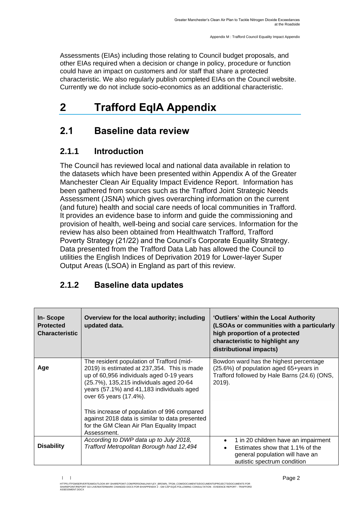Assessments (EIAs) including those relating to Council budget proposals, and other EIAs required when a decision or change in policy, procedure or function could have an impact on customers and /or staff that share a protected characteristic. We also regularly publish completed EIAs on the Council website. Currently we do not include socio-economics as an additional characteristic.

# <span id="page-3-0"></span>**2 Trafford EqIA Appendix**

### <span id="page-3-1"></span>**2.1 Baseline data review**

### **2.1.1 Introduction**

The Council has reviewed local and national data available in relation to the datasets which have been presented within Appendix A of the Greater Manchester Clean Air Equality Impact Evidence Report. Information has been gathered from sources such as the Trafford Joint Strategic Needs Assessment (JSNA) which gives overarching information on the current (and future) health and social care needs of local communities in Trafford. It provides an evidence base to inform and guide the commissioning and provision of health, well-being and social care services. Information for the review has also been obtained from Healthwatch Trafford, Trafford Poverty Strategy (21/22) and the Council's Corporate Equality Strategy. Data presented from the [Trafford Data Lab](https://www.trafforddatalab.io/) has allowed the Council to utilities the [English Indices of Deprivation 2019](https://www.gov.uk/government/statistics/english-indices-of-deprivation-2019) for Lower-layer Super Output Areas (LSOA) in England as part of this review.

### **2.1.2 Baseline data updates**

| In-Scope<br><b>Protected</b><br><b>Characteristic</b> | Overview for the local authority; including<br>updated data.                                                                                                                                                                                                                                                                                                                                                        | 'Outliers' within the Local Authority<br>(LSOAs or communities with a particularly<br>high proportion of a protected<br>characteristic to highlight any<br>distributional impacts) |
|-------------------------------------------------------|---------------------------------------------------------------------------------------------------------------------------------------------------------------------------------------------------------------------------------------------------------------------------------------------------------------------------------------------------------------------------------------------------------------------|------------------------------------------------------------------------------------------------------------------------------------------------------------------------------------|
| Age                                                   | The resident population of Trafford (mid-<br>2019) is estimated at 237,354. This is made<br>up of 60,956 individuals aged 0-19 years<br>(25.7%), 135,215 individuals aged 20-64<br>years (57.1%) and 41,183 individuals aged<br>over 65 years (17.4%).<br>This increase of population of 996 compared<br>against 2018 data is similar to data presented<br>for the GM Clean Air Plan Equality Impact<br>Assessment. | Bowdon ward has the highest percentage<br>(25.6%) of population aged 65+years in<br>Trafford followed by Hale Barns (24.6) (ONS,<br>2019).                                         |
| <b>Disability</b>                                     | According to DWP data up to July 2018,<br>Trafford Metropolitan Borough had 12,494                                                                                                                                                                                                                                                                                                                                  | 1 in 20 children have an impairment<br>Estimates show that 1.1% of the<br>general population will have an<br>autistic spectrum condition                                           |

HTTPS://TFGMSERVERTEAMOUTLOOK-MY.SHAREPOINT.COM/PERSONAL/HAYLEY\_BROWN\_TFGM\_COM/DOCUMENTS/DOCUMENTS/PROJECTS/DOCUMENTS FOR<br>SHAREPOINT/REPORT GO LIVE/WATERMARK CHANGED DOCS FOR EH/APPENDIX 2 - GM CAP EQIA FOLLOWING CONSULTAT **ASSESSMENT.DOCX**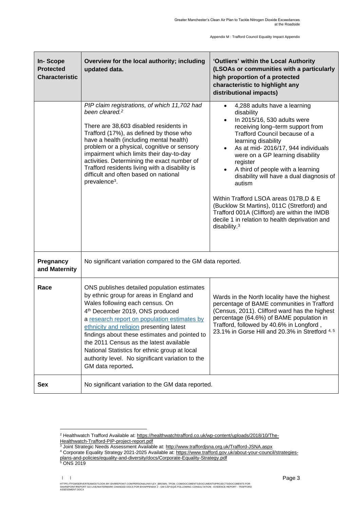| In-Scope<br><b>Protected</b><br><b>Characteristic</b> | Overview for the local authority; including<br>updated data.                                                                                                                                                                                                                                                                                                                                                                                                                                | 'Outliers' within the Local Authority<br>(LSOAs or communities with a particularly<br>high proportion of a protected<br>characteristic to highlight any<br>distributional impacts)                                                                                                                                                                                                                                                                                                                                                                                                |  |  |  |  |
|-------------------------------------------------------|---------------------------------------------------------------------------------------------------------------------------------------------------------------------------------------------------------------------------------------------------------------------------------------------------------------------------------------------------------------------------------------------------------------------------------------------------------------------------------------------|-----------------------------------------------------------------------------------------------------------------------------------------------------------------------------------------------------------------------------------------------------------------------------------------------------------------------------------------------------------------------------------------------------------------------------------------------------------------------------------------------------------------------------------------------------------------------------------|--|--|--|--|
|                                                       | PIP claim registrations, of which 11,702 had<br>been cleared. <sup>2</sup><br>There are 38,603 disabled residents in<br>Trafford (17%), as defined by those who<br>have a health (including mental health)<br>problem or a physical, cognitive or sensory<br>impairment which limits their day-to-day<br>activities. Determining the exact number of<br>Trafford residents living with a disability is<br>difficult and often based on national<br>prevalence <sup>3</sup> .                | 4,288 adults have a learning<br>$\bullet$<br>disability<br>In 2015/16, 530 adults were<br>receiving long-term support from<br>Trafford Council because of a<br>learning disability<br>As at mid- 2016/17, 944 individuals<br>were on a GP learning disability<br>register<br>A third of people with a learning<br>disability will have a dual diagnosis of<br>autism<br>Within Trafford LSOA areas 017B, D & E<br>(Bucklow St Martins), 011C (Stretford) and<br>Trafford 001A (Clifford) are within the IMDB<br>decile 1 in relation to health deprivation and<br>disability. $3$ |  |  |  |  |
| Pregnancy<br>and Maternity                            | No significant variation compared to the GM data reported.                                                                                                                                                                                                                                                                                                                                                                                                                                  |                                                                                                                                                                                                                                                                                                                                                                                                                                                                                                                                                                                   |  |  |  |  |
| Race                                                  | ONS publishes detailed population estimates<br>by ethnic group for areas in England and<br>Wales following each census. On<br>4 <sup>th</sup> December 2019, ONS produced<br>a research report on population estimates by<br>ethnicity and religion presenting latest<br>findings about these estimates and pointed to<br>the 2011 Census as the latest available<br>National Statistics for ethnic group at local<br>authority level. No significant variation to the<br>GM data reported. | Wards in the North locality have the highest<br>percentage of BAME communities in Trafford<br>(Census, 2011). Clifford ward has the highest<br>percentage (64.6%) of BAME population in<br>Trafford, followed by 40.6% in Longford,<br>23.1% in Gorse Hill and 20.3% in Stretford 4, 5                                                                                                                                                                                                                                                                                            |  |  |  |  |
| <b>Sex</b>                                            | No significant variation to the GM data reported.                                                                                                                                                                                                                                                                                                                                                                                                                                           |                                                                                                                                                                                                                                                                                                                                                                                                                                                                                                                                                                                   |  |  |  |  |

<sup>&</sup>lt;sup>2</sup> Healthwatch Trafford Available at[: https://healthwatchtrafford.co.uk/wp-content/uploads/2018/10/The-](https://healthwatchtrafford.co.uk/wp-content/uploads/2018/10/The-Healthwatch-Trafford-PIP-project-report.pdf)[Healthwatch-Trafford-PIP-project-report.pdf](https://healthwatchtrafford.co.uk/wp-content/uploads/2018/10/The-Healthwatch-Trafford-PIP-project-report.pdf)

<sup>&</sup>lt;sup>3</sup> Joint Strategic Needs Assessment Available at:<http://www.traffordjsna.org.uk/Trafford-JSNA.aspx>

<sup>4</sup> Corporate Equality Strategy 2021-2025 Available at: [https://www.trafford.gov.uk/about-your-council/strategies-](https://www.trafford.gov.uk/about-your-council/strategies-plans-and-policies/equality-and-diversity/docs/Corporate-Equality-Strategy.pdf)

[plans-and-policies/equality-and-diversity/docs/Corporate-Equality-Strategy.pdf](https://www.trafford.gov.uk/about-your-council/strategies-plans-and-policies/equality-and-diversity/docs/Corporate-Equality-Strategy.pdf)

<sup>5</sup> ONS 2019

HTTPS://TFGMSERVERTEAMOUTLOOK-MY.SHAREPOINT.COM/PERSONAL/HAYLEY\_BROWN\_TFGM\_COM/DOCUMENTS/DOCUMENTS/PROJECTS/DOCUMENTS FOR<br>SHAREPOINT/REPORT GO LIVE/WATERMARK CHANGED DOCS FOR EH/APPENDIX 2 - GM CAP EQIA FOLLOWING CONSULTAT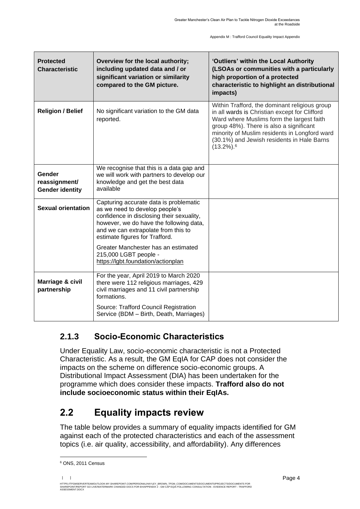| <b>Protected</b><br><b>Characteristic</b>         | Overview for the local authority;<br>including updated data and / or<br>significant variation or similarity<br>compared to the GM picture.                                                                                                                                                                                                      | 'Outliers' within the Local Authority<br>(LSOAs or communities with a particularly<br>high proportion of a protected<br>characteristic to highlight an distributional<br>impacts)                                                                                                                            |
|---------------------------------------------------|-------------------------------------------------------------------------------------------------------------------------------------------------------------------------------------------------------------------------------------------------------------------------------------------------------------------------------------------------|--------------------------------------------------------------------------------------------------------------------------------------------------------------------------------------------------------------------------------------------------------------------------------------------------------------|
| <b>Religion / Belief</b>                          | No significant variation to the GM data<br>reported.                                                                                                                                                                                                                                                                                            | Within Trafford, the dominant religious group<br>in all wards is Christian except for Clifford<br>Ward where Muslims form the largest faith<br>group 48%). There is also a significant<br>minority of Muslim residents in Longford ward<br>(30.1%) and Jewish residents in Hale Barns<br>$(13.2\%)$ . $^{6}$ |
| Gender<br>reassignment/<br><b>Gender identity</b> | We recognise that this is a data gap and<br>we will work with partners to develop our<br>knowledge and get the best data<br>available                                                                                                                                                                                                           |                                                                                                                                                                                                                                                                                                              |
| <b>Sexual orientation</b>                         | Capturing accurate data is problematic<br>as we need to develop people's<br>confidence in disclosing their sexuality,<br>however, we do have the following data,<br>and we can extrapolate from this to<br>estimate figures for Trafford.<br>Greater Manchester has an estimated<br>215,000 LGBT people -<br>https://lgbt.foundation/actionplan |                                                                                                                                                                                                                                                                                                              |
| Marriage & civil<br>partnership                   | For the year, April 2019 to March 2020<br>there were 112 religious marriages, 429<br>civil marriages and 11 civil partnership<br>formations.<br>Source: Trafford Council Registration<br>Service (BDM - Birth, Death, Marriages)                                                                                                                |                                                                                                                                                                                                                                                                                                              |

#### **2.1.3 Socio-Economic Characteristics**

Under Equality Law, socio-economic characteristic is not a Protected Characteristic. As a result, the GM EqIA for CAP does not consider the impacts on the scheme on difference socio-economic groups. A Distributional Impact Assessment (DIA) has been undertaken for the programme which does consider these impacts. **Trafford also do not include socioeconomic status within their EqIAs.** 

## <span id="page-5-0"></span>**2.2 Equality impacts review**

The table below provides a summary of equality impacts identified for GM against each of the protected characteristics and each of the assessment topics (i.e. air quality, accessibility, and affordability). Any differences

<sup>6</sup> ONS, 2011 Census

<sup>| |</sup> 

HTTPS://TFGMSERVERTEAMOUTLOOK-MY.SHAREPOINT.COM/PERSONAL/HAYLEY\_BROWN\_TFGM\_COM/DOCUMENTS/DOCUMENTS/PROJECTS/DOCUMENTS FOR<br>SHAREPOINT/REPORT GO LIVE/WATERMARK CHANGED DOCS FOR EH/APPENDIX 2 - GM CAP EQIA FOLLOWING CONSULTAT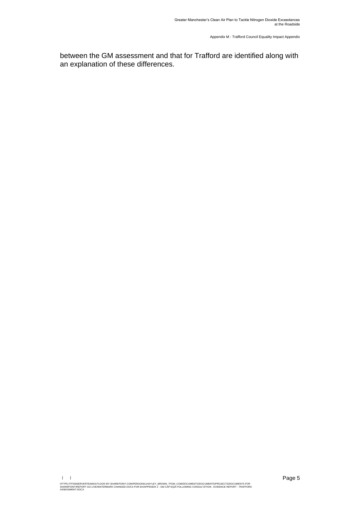between the GM assessment and that for Trafford are identified along with an explanation of these differences.

HTTPS://TFGMSERVERTEAMOUTLOOK-MY.SHAREPOINT.COM/PERSONAL/HAYLEY\_BROWN\_TFGM\_COM/DOCUMENTS/DOCUMENTS/PROJECTS/DOCUMENTS FOR<br>SHAREPOINT/REPORT GO LIVE/WATERMARK CHANGED DOCS FOR EH/APPENDIX 2 - GM CAP EQIA FOLLOWING CONSULTAT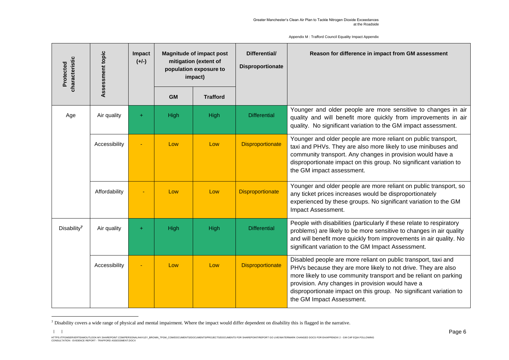| characteristic<br>Protected | Assessment topic | Impact<br>$(+/-)$ |           | <b>Magnitude of impact post</b><br>mitigation (extent of<br>population exposure to<br>impact) | Differential/<br>Disproportionate | Reason for difference in impact from GM assessment                                                                                                                                                                                                                                                                                                         |
|-----------------------------|------------------|-------------------|-----------|-----------------------------------------------------------------------------------------------|-----------------------------------|------------------------------------------------------------------------------------------------------------------------------------------------------------------------------------------------------------------------------------------------------------------------------------------------------------------------------------------------------------|
|                             |                  |                   | <b>GM</b> | <b>Trafford</b>                                                                               |                                   |                                                                                                                                                                                                                                                                                                                                                            |
| Age                         | Air quality      | $\ddot{}$         | High      | High                                                                                          | <b>Differential</b>               | Younger and older people are more sensitive to changes in air<br>quality and will benefit more quickly from improvements in air<br>quality. No significant variation to the GM impact assessment.                                                                                                                                                          |
|                             | Accessibility    |                   | Low       | Low                                                                                           | <b>Disproportionate</b>           | Younger and older people are more reliant on public transport,<br>taxi and PHVs. They are also more likely to use minibuses and<br>community transport. Any changes in provision would have a<br>disproportionate impact on this group. No significant variation to<br>the GM impact assessment.                                                           |
|                             | Affordability    |                   | Low       | Low                                                                                           | <b>Disproportionate</b>           | Younger and older people are more reliant on public transport, so<br>any ticket prices increases would be disproportionately<br>experienced by these groups. No significant variation to the GM<br>Impact Assessment.                                                                                                                                      |
| Disability <sup>7</sup>     | Air quality      | $\ddot{}$         | High      | High                                                                                          | <b>Differential</b>               | People with disabilities (particularly if these relate to respiratory<br>problems) are likely to be more sensitive to changes in air quality<br>and will benefit more quickly from improvements in air quality. No<br>significant variation to the GM Impact Assessment.                                                                                   |
|                             | Accessibility    |                   | Low       | Low                                                                                           | <b>Disproportionate</b>           | Disabled people are more reliant on public transport, taxi and<br>PHVs because they are more likely to not drive. They are also<br>more likely to use community transport and be reliant on parking<br>provision. Any changes in provision would have a<br>disproportionate impact on this group. No significant variation to<br>the GM Impact Assessment. |

<sup>&</sup>lt;sup>7</sup> Disability covers a wide range of physical and mental impairment. Where the impact would differ dependent on disability this is flagged in the narrative.

| |

HTTPS://TEGMSERVENTEMOUTLOCK-MY:SHAREPOINT.COM/PERSONALING/VENTER\_COMPOCUMENTS/DOCUMENTS/PROJECTS/DOCUMENTS FOR SHAREPOINT/REPORT GO LIVE/WATERMARK CHANGED DOCS FOR EH/APPENDIX 2 - GM CAP EQIA FOLLOWING<br>CONSULTATION - EVID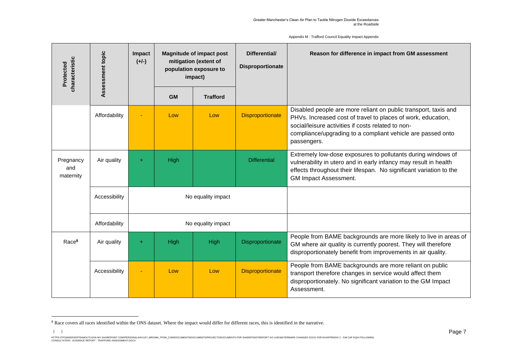| Appendix M: Trafford Council Equality Impact Appendix |  |  |
|-------------------------------------------------------|--|--|
|-------------------------------------------------------|--|--|

| characteristic<br>Protected   | Assessment topic | Impact<br>$(+/-)$ |                    | <b>Magnitude of impact post</b><br>mitigation (extent of<br>population exposure to<br>impact) | Differential/<br>Disproportionate | Reason for difference in impact from GM assessment                                                                                                                                                                                                                  |
|-------------------------------|------------------|-------------------|--------------------|-----------------------------------------------------------------------------------------------|-----------------------------------|---------------------------------------------------------------------------------------------------------------------------------------------------------------------------------------------------------------------------------------------------------------------|
|                               |                  |                   | <b>GM</b>          | <b>Trafford</b>                                                                               |                                   |                                                                                                                                                                                                                                                                     |
|                               | Affordability    |                   | Low                | Low                                                                                           | <b>Disproportionate</b>           | Disabled people are more reliant on public transport, taxis and<br>PHVs. Increased cost of travel to places of work, education,<br>social/leisure activities if costs related to non-<br>compliance/upgrading to a compliant vehicle are passed onto<br>passengers. |
| Pregnancy<br>and<br>maternity | Air quality      | ÷                 | High               |                                                                                               | <b>Differential</b>               | Extremely low-dose exposures to pollutants during windows of<br>vulnerability in utero and in early infancy may result in health<br>effects throughout their lifespan. No significant variation to the<br>GM Impact Assessment.                                     |
|                               | Accessibility    |                   | No equality impact |                                                                                               |                                   |                                                                                                                                                                                                                                                                     |
|                               | Affordability    |                   | No equality impact |                                                                                               |                                   |                                                                                                                                                                                                                                                                     |
| Race <sup>8</sup>             | Air quality      | $+$               | High               | High                                                                                          | Disproportionate                  | People from BAME backgrounds are more likely to live in areas of<br>GM where air quality is currently poorest. They will therefore<br>disproportionately benefit from improvements in air quality.                                                                  |
|                               | Accessibility    |                   | Low                | Low                                                                                           | <b>Disproportionate</b>           | People from BAME backgrounds are more reliant on public<br>transport therefore changes in service would affect them<br>disproportionately. No significant variation to the GM Impact<br>Assessment.                                                                 |

| |

<sup>&</sup>lt;sup>8</sup> Race covers all races identified within the ONS dataset. Where the impact would differ for different races, this is identified in the narrative.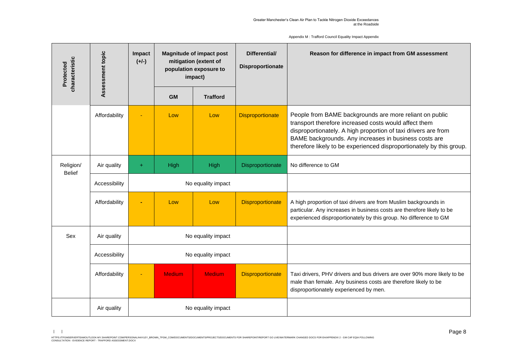| characteristic<br>Protected | Assessment topic | Impact<br>$(+/-)$  | <b>Magnitude of impact post</b><br>mitigation (extent of<br>population exposure to<br>impact) |                    | Differential/<br>Disproportionate | Reason for difference in impact from GM assessment                                                                                                                                                                                                                                                                  |
|-----------------------------|------------------|--------------------|-----------------------------------------------------------------------------------------------|--------------------|-----------------------------------|---------------------------------------------------------------------------------------------------------------------------------------------------------------------------------------------------------------------------------------------------------------------------------------------------------------------|
|                             |                  |                    | <b>GM</b>                                                                                     | <b>Trafford</b>    |                                   |                                                                                                                                                                                                                                                                                                                     |
|                             | Affordability    |                    | Low                                                                                           | Low                | <b>Disproportionate</b>           | People from BAME backgrounds are more reliant on public<br>transport therefore increased costs would affect them<br>disproportionately. A high proportion of taxi drivers are from<br>BAME backgrounds. Any increases in business costs are<br>therefore likely to be experienced disproportionately by this group. |
| Religion/<br><b>Belief</b>  | Air quality      | $+$                | High                                                                                          | High               | Disproportionate                  | No difference to GM                                                                                                                                                                                                                                                                                                 |
|                             | Accessibility    | No equality impact |                                                                                               |                    |                                   |                                                                                                                                                                                                                                                                                                                     |
|                             | Affordability    |                    | Low                                                                                           | Low                | <b>Disproportionate</b>           | A high proportion of taxi drivers are from Muslim backgrounds in<br>particular. Any increases in business costs are therefore likely to be<br>experienced disproportionately by this group. No difference to GM                                                                                                     |
| Sex                         | Air quality      |                    |                                                                                               | No equality impact |                                   |                                                                                                                                                                                                                                                                                                                     |
|                             | Accessibility    | No equality impact |                                                                                               |                    |                                   |                                                                                                                                                                                                                                                                                                                     |
|                             | Affordability    |                    | <b>Medium</b>                                                                                 | <b>Medium</b>      | <b>Disproportionate</b>           | Taxi drivers, PHV drivers and bus drivers are over 90% more likely to be<br>male than female. Any business costs are therefore likely to be<br>disproportionately experienced by men.                                                                                                                               |
|                             | Air quality      |                    |                                                                                               | No equality impact |                                   |                                                                                                                                                                                                                                                                                                                     |

<sup>| |</sup>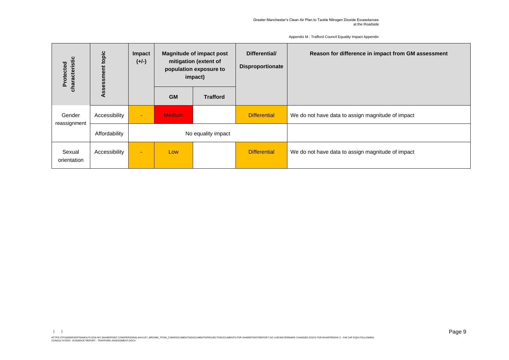|  |  |  | Appendix M: Trafford Council Equality Impact Appendix |
|--|--|--|-------------------------------------------------------|
|--|--|--|-------------------------------------------------------|

| haracteristic<br>Protected | opic<br>Ö     | <b>Impact</b><br>$(+/-)$ | <b>Magnitude of impact post</b><br>mitigation (extent of<br>population exposure to<br>impact) |                    | Differential/<br><b>Disproportionate</b> | Reason for difference in impact from GM assessment |
|----------------------------|---------------|--------------------------|-----------------------------------------------------------------------------------------------|--------------------|------------------------------------------|----------------------------------------------------|
| ਨ                          | SS<br>⋖       |                          | <b>GM</b>                                                                                     | <b>Trafford</b>    |                                          |                                                    |
| Gender<br>reassignment     | Accessibility | ٠                        | <b>Medium</b>                                                                                 |                    | <b>Differential</b>                      | We do not have data to assign magnitude of impact  |
|                            | Affordability |                          |                                                                                               | No equality impact |                                          |                                                    |
| Sexual<br>orientation      | Accessibility | ٠                        | Low                                                                                           |                    | <b>Differential</b>                      | We do not have data to assign magnitude of impact  |

 $| \cdot |$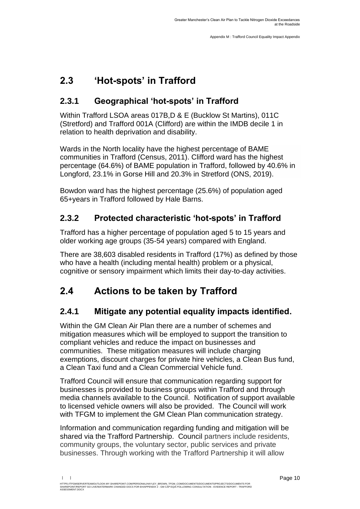## <span id="page-11-0"></span>**2.3 'Hot-spots' in Trafford**

### **2.3.1 Geographical 'hot-spots' in Trafford**

Within Trafford LSOA areas 017B,D & E (Bucklow St Martins), 011C (Stretford) and Trafford 001A (Clifford) are within the IMDB decile 1 in relation to health deprivation and disability.

Wards in the North locality have the highest percentage of BAME communities in Trafford (Census, 2011). Clifford ward has the highest percentage (64.6%) of BAME population in Trafford, followed by 40.6% in Longford, 23.1% in Gorse Hill and 20.3% in Stretford (ONS, 2019).

Bowdon ward has the highest percentage (25.6%) of population aged 65+years in Trafford followed by Hale Barns.

### **2.3.2 Protected characteristic 'hot-spots' in Trafford**

Trafford has a higher percentage of population aged 5 to 15 years and older working age groups (35-54 years) compared with England.

There are 38,603 disabled residents in Trafford (17%) as defined by those who have a health (including mental health) problem or a physical, cognitive or sensory impairment which limits their day-to-day activities.

## <span id="page-11-1"></span>**2.4 Actions to be taken by Trafford**

### **2.4.1 Mitigate any potential equality impacts identified.**

Within the GM Clean Air Plan there are a number of schemes and mitigation measures which will be employed to support the transition to compliant vehicles and reduce the impact on businesses and communities. These mitigation measures will include charging exemptions, discount charges for private hire vehicles, a Clean Bus fund, a Clean Taxi fund and a Clean Commercial Vehicle fund.

Trafford Council will ensure that communication regarding support for businesses is provided to business groups within Trafford and through media channels available to the Council. Notification of support available to licensed vehicle owners will also be provided. The Council will work with TFGM to implement the GM Clean Plan communication strategy.

Information and communication regarding funding and mitigation will be shared via the Trafford Partnership. Council partners include residents, community groups, the voluntary sector, public services and private businesses. Through working with the Trafford Partnership it will allow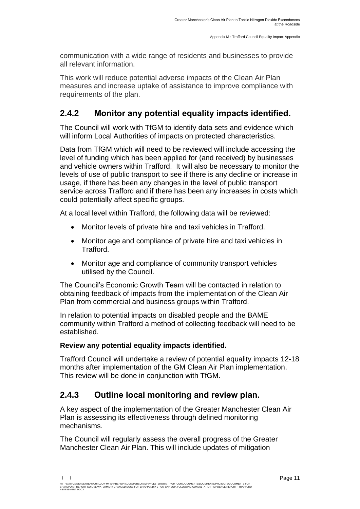communication with a wide range of residents and businesses to provide all relevant information.

This work will reduce potential adverse impacts of the Clean Air Plan measures and increase uptake of assistance to improve compliance with requirements of the plan.

#### **2.4.2 Monitor any potential equality impacts identified.**

The Council will work with TfGM to identify data sets and evidence which will inform Local Authorities of impacts on protected characteristics.

Data from TfGM which will need to be reviewed will include accessing the level of funding which has been applied for (and received) by businesses and vehicle owners within Trafford. It will also be necessary to monitor the levels of use of public transport to see if there is any decline or increase in usage, if there has been any changes in the level of public transport service across Trafford and if there has been any increases in costs which could potentially affect specific groups.

At a local level within Trafford, the following data will be reviewed:

- Monitor levels of private hire and taxi vehicles in Trafford.
- Monitor age and compliance of private hire and taxi vehicles in Trafford.
- Monitor age and compliance of community transport vehicles utilised by the Council.

The Council's Economic Growth Team will be contacted in relation to obtaining feedback of impacts from the implementation of the Clean Air Plan from commercial and business groups within Trafford.

In relation to potential impacts on disabled people and the BAME community within Trafford a method of collecting feedback will need to be established.

#### **Review any potential equality impacts identified.**

Trafford Council will undertake a review of potential equality impacts 12-18 months after implementation of the GM Clean Air Plan implementation. This review will be done in conjunction with TfGM.

#### **2.4.3 Outline local monitoring and review plan.**

A key aspect of the implementation of the Greater Manchester Clean Air Plan is assessing its effectiveness through defined monitoring mechanisms.

The Council will regularly assess the overall progress of the Greater Manchester Clean Air Plan. This will include updates of mitigation